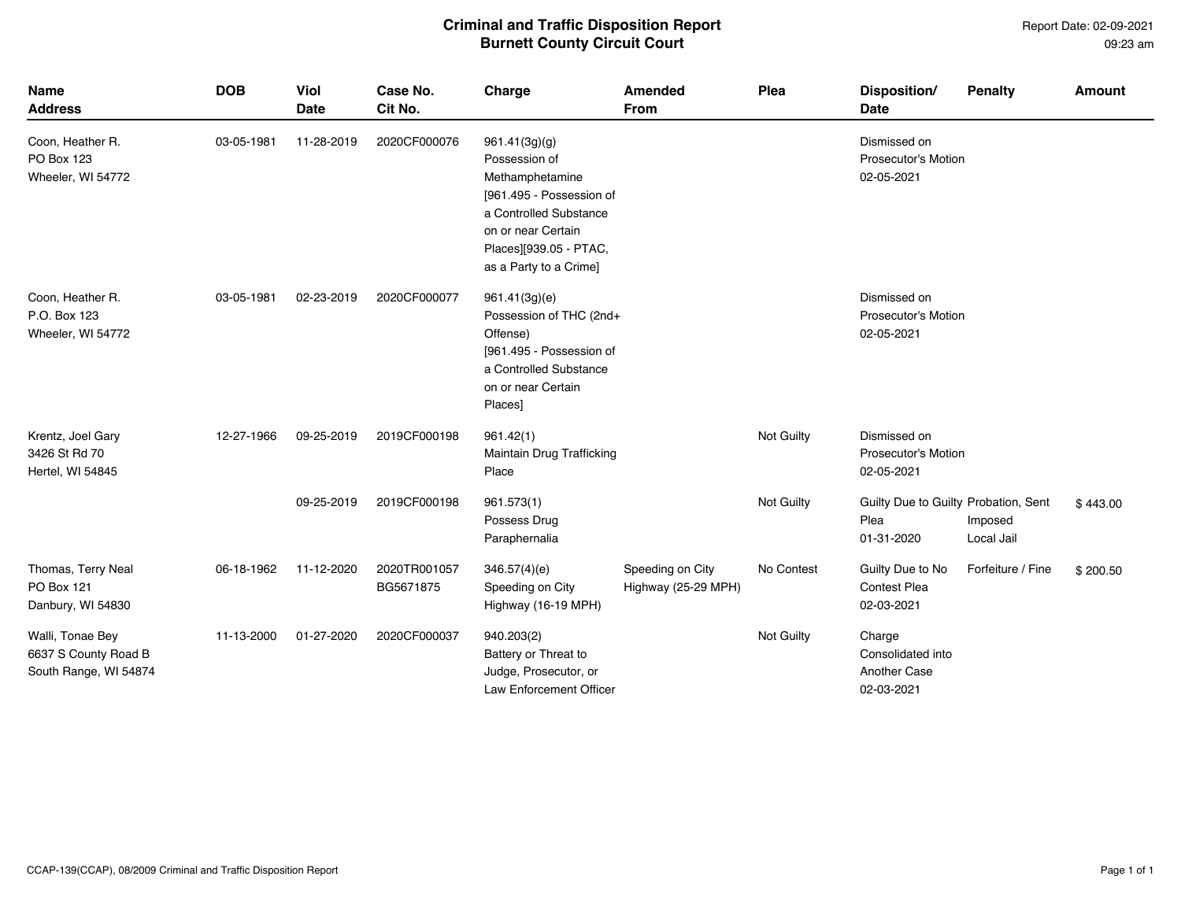## **Criminal and Traffic Disposition Report Burnett County Circuit Court**

Report Date: 02-09-2021 09:23 am

| <b>Name</b><br><b>Address</b>                                     | <b>DOB</b> | <b>Viol</b><br><b>Date</b> | Case No.<br>Cit No.       | Charge                                                                                                                                                                            | Amended<br><b>From</b>                  | Plea       | Disposition/<br><b>Date</b>                                | <b>Penalty</b>        | <b>Amount</b> |
|-------------------------------------------------------------------|------------|----------------------------|---------------------------|-----------------------------------------------------------------------------------------------------------------------------------------------------------------------------------|-----------------------------------------|------------|------------------------------------------------------------|-----------------------|---------------|
| Coon, Heather R.<br>PO Box 123<br>Wheeler, WI 54772               | 03-05-1981 | 11-28-2019                 | 2020CF000076              | 961.41(3g)(g)<br>Possession of<br>Methamphetamine<br>[961.495 - Possession of<br>a Controlled Substance<br>on or near Certain<br>Places][939.05 - PTAC,<br>as a Party to a Crime] |                                         |            | Dismissed on<br>Prosecutor's Motion<br>02-05-2021          |                       |               |
| Coon, Heather R.<br>P.O. Box 123<br>Wheeler, WI 54772             | 03-05-1981 | 02-23-2019                 | 2020CF000077              | 961.41(3g)(e)<br>Possession of THC (2nd+<br>Offense)<br>[961.495 - Possession of<br>a Controlled Substance<br>on or near Certain<br>Places]                                       |                                         |            | Dismissed on<br>Prosecutor's Motion<br>02-05-2021          |                       |               |
| Krentz, Joel Gary<br>3426 St Rd 70<br>Hertel, WI 54845            | 12-27-1966 | 09-25-2019                 | 2019CF000198              | 961.42(1)<br>Maintain Drug Trafficking<br>Place                                                                                                                                   |                                         | Not Guilty | Dismissed on<br><b>Prosecutor's Motion</b><br>02-05-2021   |                       |               |
|                                                                   |            | 09-25-2019                 | 2019CF000198              | 961.573(1)<br>Possess Drug<br>Paraphernalia                                                                                                                                       |                                         | Not Guilty | Guilty Due to Guilty Probation, Sent<br>Plea<br>01-31-2020 | Imposed<br>Local Jail | \$443.00      |
| Thomas, Terry Neal<br><b>PO Box 121</b><br>Danbury, WI 54830      | 06-18-1962 | 11-12-2020                 | 2020TR001057<br>BG5671875 | 346.57(4)(e)<br>Speeding on City<br>Highway (16-19 MPH)                                                                                                                           | Speeding on City<br>Highway (25-29 MPH) | No Contest | Guilty Due to No<br><b>Contest Plea</b><br>02-03-2021      | Forfeiture / Fine     | \$200.50      |
| Walli, Tonae Bey<br>6637 S County Road B<br>South Range, WI 54874 | 11-13-2000 | 01-27-2020                 | 2020CF000037              | 940.203(2)<br>Battery or Threat to<br>Judge, Prosecutor, or<br>Law Enforcement Officer                                                                                            |                                         | Not Guilty | Charge<br>Consolidated into<br>Another Case<br>02-03-2021  |                       |               |